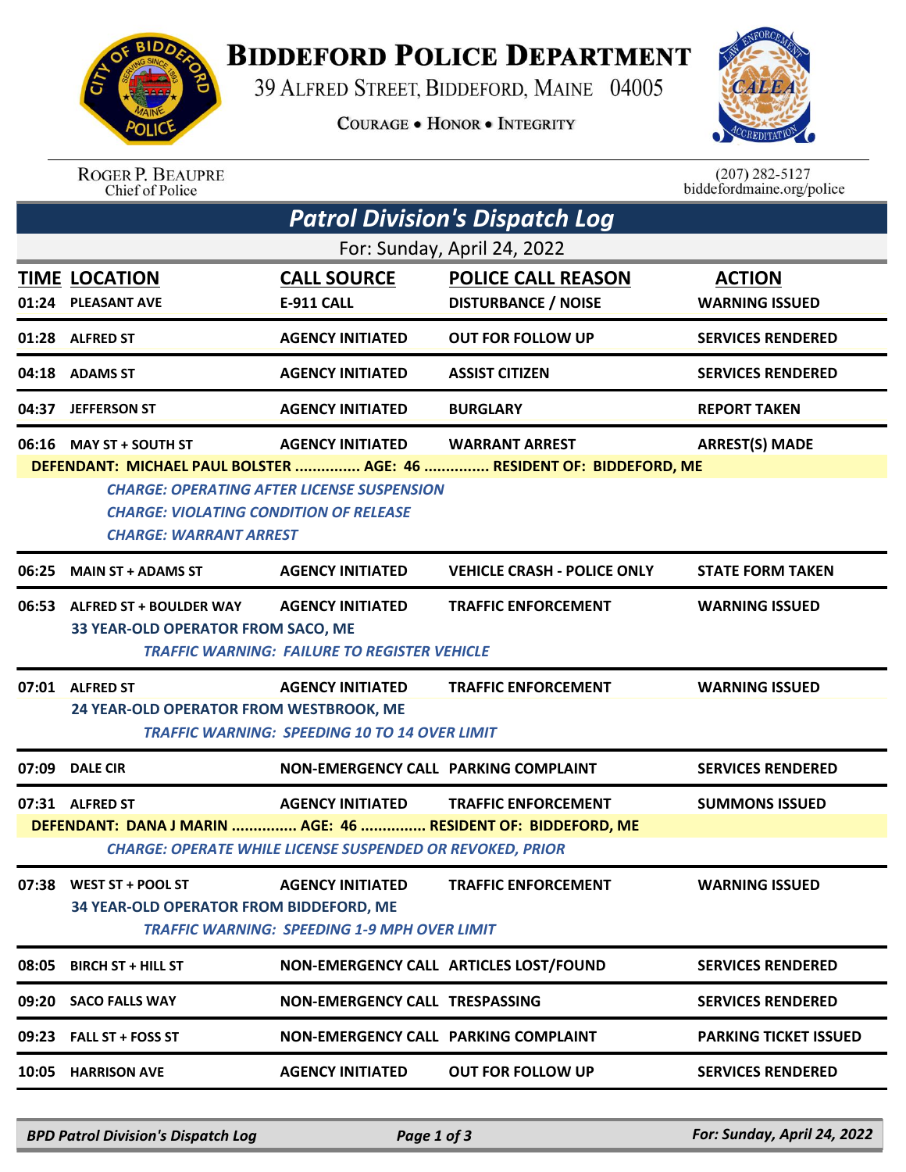

## **BIDDEFORD POLICE DEPARTMENT**

39 ALFRED STREET, BIDDEFORD, MAINE 04005

**COURAGE . HONOR . INTEGRITY** 



ROGER P. BEAUPRE<br>Chief of Police

 $(207)$  282-5127 biddefordmaine.org/police

| <b>Patrol Division's Dispatch Log</b>                                                                                                                                                                       |                                                                                 |                                                                                             |                                                         |                                        |  |  |  |  |
|-------------------------------------------------------------------------------------------------------------------------------------------------------------------------------------------------------------|---------------------------------------------------------------------------------|---------------------------------------------------------------------------------------------|---------------------------------------------------------|----------------------------------------|--|--|--|--|
| For: Sunday, April 24, 2022                                                                                                                                                                                 |                                                                                 |                                                                                             |                                                         |                                        |  |  |  |  |
|                                                                                                                                                                                                             | <b>TIME LOCATION</b><br>01:24 PLEASANT AVE                                      | <b>CALL SOURCE</b><br><b>E-911 CALL</b>                                                     | <b>POLICE CALL REASON</b><br><b>DISTURBANCE / NOISE</b> | <b>ACTION</b><br><b>WARNING ISSUED</b> |  |  |  |  |
|                                                                                                                                                                                                             | 01:28 ALFRED ST                                                                 | <b>AGENCY INITIATED</b>                                                                     | <b>OUT FOR FOLLOW UP</b>                                | <b>SERVICES RENDERED</b>               |  |  |  |  |
|                                                                                                                                                                                                             | 04:18 ADAMS ST                                                                  | <b>AGENCY INITIATED</b>                                                                     | <b>ASSIST CITIZEN</b>                                   | <b>SERVICES RENDERED</b>               |  |  |  |  |
| 04:37                                                                                                                                                                                                       | <b>JEFFERSON ST</b>                                                             | <b>AGENCY INITIATED</b>                                                                     | <b>BURGLARY</b>                                         | <b>REPORT TAKEN</b>                    |  |  |  |  |
|                                                                                                                                                                                                             | 06:16 MAY ST + SOUTH ST                                                         | <b>AGENCY INITIATED</b>                                                                     | <b>WARRANT ARREST</b>                                   | <b>ARREST(S) MADE</b>                  |  |  |  |  |
| DEFENDANT: MICHAEL PAUL BOLSTER  AGE: 46  RESIDENT OF: BIDDEFORD, ME<br><b>CHARGE: OPERATING AFTER LICENSE SUSPENSION</b><br><b>CHARGE: VIOLATING CONDITION OF RELEASE</b><br><b>CHARGE: WARRANT ARREST</b> |                                                                                 |                                                                                             |                                                         |                                        |  |  |  |  |
|                                                                                                                                                                                                             | 06:25 MAIN ST + ADAMS ST                                                        | <b>AGENCY INITIATED</b>                                                                     | <b>VEHICLE CRASH - POLICE ONLY</b>                      | <b>STATE FORM TAKEN</b>                |  |  |  |  |
| 06:53                                                                                                                                                                                                       | <b>ALFRED ST + BOULDER WAY</b><br>33 YEAR-OLD OPERATOR FROM SACO, ME            | <b>AGENCY INITIATED</b><br><b>TRAFFIC WARNING: FAILURE TO REGISTER VEHICLE</b>              | <b>TRAFFIC ENFORCEMENT</b>                              | <b>WARNING ISSUED</b>                  |  |  |  |  |
|                                                                                                                                                                                                             | 07:01 ALFRED ST<br>24 YEAR-OLD OPERATOR FROM WESTBROOK, ME                      | <b>AGENCY INITIATED</b><br><b>TRAFFIC WARNING: SPEEDING 10 TO 14 OVER LIMIT</b>             | <b>TRAFFIC ENFORCEMENT</b>                              | <b>WARNING ISSUED</b>                  |  |  |  |  |
| 07:09                                                                                                                                                                                                       | <b>DALE CIR</b>                                                                 | NON-EMERGENCY CALL PARKING COMPLAINT                                                        |                                                         | <b>SERVICES RENDERED</b>               |  |  |  |  |
|                                                                                                                                                                                                             | 07:31 ALFRED ST<br>DEFENDANT: DANA J MARIN  AGE: 46  RESIDENT OF: BIDDEFORD, ME | <b>AGENCY INITIATED</b><br><b>CHARGE: OPERATE WHILE LICENSE SUSPENDED OR REVOKED, PRIOR</b> | <b>TRAFFIC ENFORCEMENT</b>                              | <b>SUMMONS ISSUED</b>                  |  |  |  |  |
|                                                                                                                                                                                                             | 07:38 WEST ST + POOL ST<br>34 YEAR-OLD OPERATOR FROM BIDDEFORD, ME              | <b>AGENCY INITIATED</b><br><b>TRAFFIC WARNING: SPEEDING 1-9 MPH OVER LIMIT</b>              | <b>TRAFFIC ENFORCEMENT</b>                              | <b>WARNING ISSUED</b>                  |  |  |  |  |
| 08:05                                                                                                                                                                                                       | <b>BIRCH ST + HILL ST</b>                                                       |                                                                                             | NON-EMERGENCY CALL ARTICLES LOST/FOUND                  | <b>SERVICES RENDERED</b>               |  |  |  |  |
|                                                                                                                                                                                                             | 09:20 SACO FALLS WAY                                                            | NON-EMERGENCY CALL TRESPASSING                                                              |                                                         | <b>SERVICES RENDERED</b>               |  |  |  |  |
|                                                                                                                                                                                                             | 09:23 FALL ST + FOSS ST                                                         | <b>NON-EMERGENCY CALL PARKING COMPLAINT</b>                                                 |                                                         | <b>PARKING TICKET ISSUED</b>           |  |  |  |  |
|                                                                                                                                                                                                             | 10:05 HARRISON AVE                                                              | <b>AGENCY INITIATED</b>                                                                     | <b>OUT FOR FOLLOW UP</b>                                | <b>SERVICES RENDERED</b>               |  |  |  |  |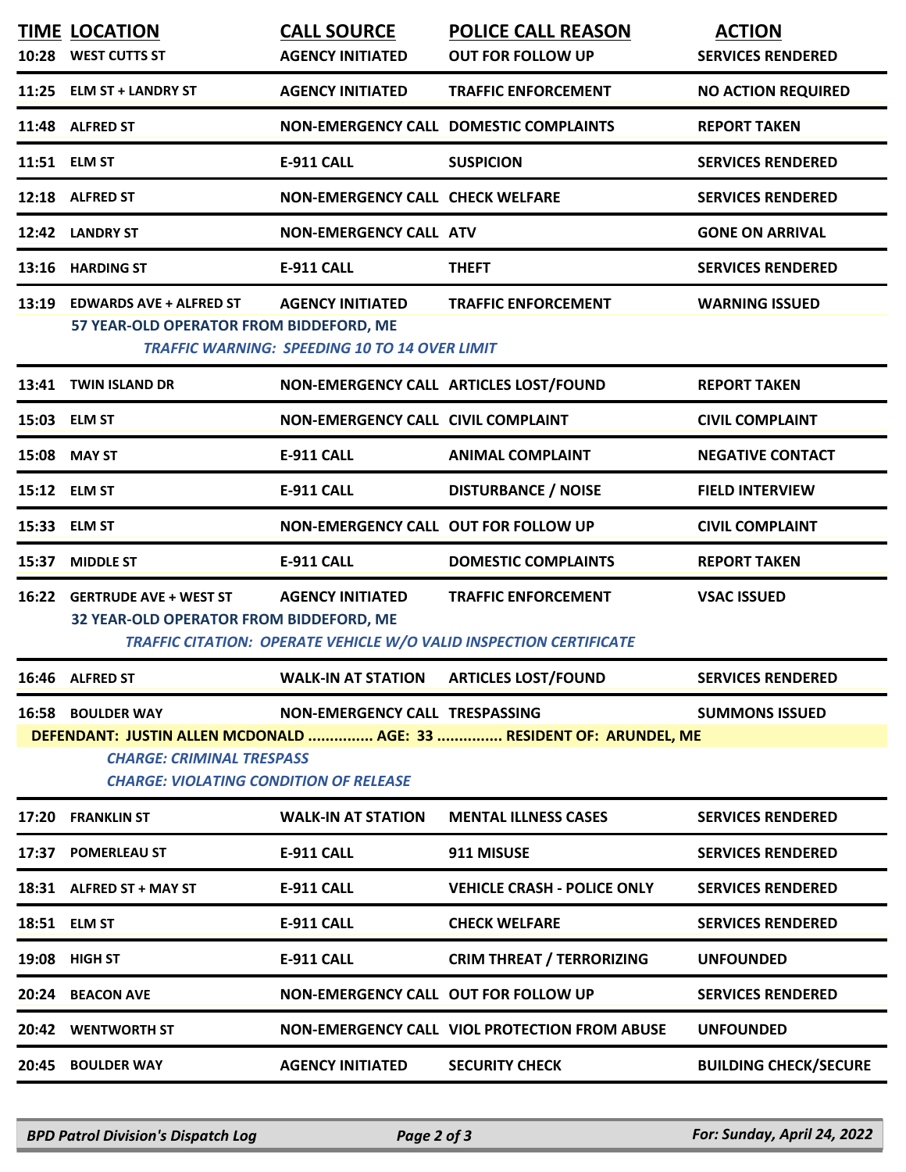|                                                                                                                                                          | <b>TIME LOCATION</b><br>10:28 WEST CUTTS ST                              | <b>CALL SOURCE</b><br><b>AGENCY INITIATED</b>                                   | <b>POLICE CALL REASON</b><br><b>OUT FOR FOLLOW UP</b>                                            | <b>ACTION</b><br><b>SERVICES RENDERED</b> |  |  |  |
|----------------------------------------------------------------------------------------------------------------------------------------------------------|--------------------------------------------------------------------------|---------------------------------------------------------------------------------|--------------------------------------------------------------------------------------------------|-------------------------------------------|--|--|--|
|                                                                                                                                                          | 11:25 ELM ST + LANDRY ST                                                 | <b>AGENCY INITIATED</b>                                                         | <b>TRAFFIC ENFORCEMENT</b>                                                                       | <b>NO ACTION REQUIRED</b>                 |  |  |  |
|                                                                                                                                                          | 11:48 ALFRED ST                                                          |                                                                                 | NON-EMERGENCY CALL DOMESTIC COMPLAINTS                                                           | <b>REPORT TAKEN</b>                       |  |  |  |
|                                                                                                                                                          | 11:51 ELM ST                                                             | <b>E-911 CALL</b>                                                               | <b>SUSPICION</b>                                                                                 | <b>SERVICES RENDERED</b>                  |  |  |  |
|                                                                                                                                                          | 12:18 ALFRED ST                                                          | <b>NON-EMERGENCY CALL CHECK WELFARE</b>                                         |                                                                                                  | <b>SERVICES RENDERED</b>                  |  |  |  |
|                                                                                                                                                          | 12:42 LANDRY ST                                                          | <b>NON-EMERGENCY CALL ATV</b>                                                   |                                                                                                  | <b>GONE ON ARRIVAL</b>                    |  |  |  |
|                                                                                                                                                          | 13:16 HARDING ST                                                         | <b>E-911 CALL</b>                                                               | <b>THEFT</b>                                                                                     | <b>SERVICES RENDERED</b>                  |  |  |  |
|                                                                                                                                                          | 13:19 EDWARDS AVE + ALFRED ST<br>57 YEAR-OLD OPERATOR FROM BIDDEFORD, ME | <b>AGENCY INITIATED</b><br><b>TRAFFIC WARNING: SPEEDING 10 TO 14 OVER LIMIT</b> | <b>TRAFFIC ENFORCEMENT</b>                                                                       | <b>WARNING ISSUED</b>                     |  |  |  |
|                                                                                                                                                          | 13:41 TWIN ISLAND DR                                                     |                                                                                 | NON-EMERGENCY CALL ARTICLES LOST/FOUND                                                           | <b>REPORT TAKEN</b>                       |  |  |  |
|                                                                                                                                                          | 15:03 ELM ST                                                             | NON-EMERGENCY CALL CIVIL COMPLAINT                                              |                                                                                                  | <b>CIVIL COMPLAINT</b>                    |  |  |  |
|                                                                                                                                                          | 15:08 MAY ST                                                             | <b>E-911 CALL</b>                                                               | <b>ANIMAL COMPLAINT</b>                                                                          | <b>NEGATIVE CONTACT</b>                   |  |  |  |
|                                                                                                                                                          | 15:12 ELM ST                                                             | <b>E-911 CALL</b>                                                               | <b>DISTURBANCE / NOISE</b>                                                                       | <b>FIELD INTERVIEW</b>                    |  |  |  |
|                                                                                                                                                          | 15:33 ELM ST                                                             | NON-EMERGENCY CALL OUT FOR FOLLOW UP                                            |                                                                                                  | <b>CIVIL COMPLAINT</b>                    |  |  |  |
|                                                                                                                                                          | 15:37 MIDDLE ST                                                          | <b>E-911 CALL</b>                                                               | <b>DOMESTIC COMPLAINTS</b>                                                                       | <b>REPORT TAKEN</b>                       |  |  |  |
| 16:22                                                                                                                                                    | <b>GERTRUDE AVE + WEST ST</b><br>32 YEAR-OLD OPERATOR FROM BIDDEFORD, ME | <b>AGENCY INITIATED</b>                                                         | <b>TRAFFIC ENFORCEMENT</b><br>TRAFFIC CITATION: OPERATE VEHICLE W/O VALID INSPECTION CERTIFICATE | <b>VSAC ISSUED</b>                        |  |  |  |
|                                                                                                                                                          | 16:46 ALFRED ST                                                          | <b>WALK-IN AT STATION</b>                                                       | <b>ARTICLES LOST/FOUND</b>                                                                       | <b>SERVICES RENDERED</b>                  |  |  |  |
|                                                                                                                                                          | <b>16:58 BOULDER WAY</b>                                                 | NON-EMERGENCY CALL TRESPASSING                                                  |                                                                                                  | <b>SUMMONS ISSUED</b>                     |  |  |  |
| DEFENDANT: JUSTIN ALLEN MCDONALD  AGE: 33  RESIDENT OF: ARUNDEL, ME<br><b>CHARGE: CRIMINAL TRESPASS</b><br><b>CHARGE: VIOLATING CONDITION OF RELEASE</b> |                                                                          |                                                                                 |                                                                                                  |                                           |  |  |  |
|                                                                                                                                                          | 17:20 FRANKLIN ST                                                        | <b>WALK-IN AT STATION</b>                                                       | <b>MENTAL ILLNESS CASES</b>                                                                      | <b>SERVICES RENDERED</b>                  |  |  |  |
|                                                                                                                                                          | 17:37 POMERLEAU ST                                                       | <b>E-911 CALL</b>                                                               | 911 MISUSE                                                                                       | <b>SERVICES RENDERED</b>                  |  |  |  |
|                                                                                                                                                          | 18:31 ALFRED ST + MAY ST                                                 | <b>E-911 CALL</b>                                                               | <b>VEHICLE CRASH - POLICE ONLY</b>                                                               | <b>SERVICES RENDERED</b>                  |  |  |  |
|                                                                                                                                                          | 18:51 ELM ST                                                             | <b>E-911 CALL</b>                                                               | <b>CHECK WELFARE</b>                                                                             | <b>SERVICES RENDERED</b>                  |  |  |  |
| 19:08                                                                                                                                                    | <b>HIGH ST</b>                                                           | <b>E-911 CALL</b>                                                               | <b>CRIM THREAT / TERRORIZING</b>                                                                 | <b>UNFOUNDED</b>                          |  |  |  |
| 20:24                                                                                                                                                    | <b>BEACON AVE</b>                                                        | NON-EMERGENCY CALL OUT FOR FOLLOW UP                                            |                                                                                                  | <b>SERVICES RENDERED</b>                  |  |  |  |
| 20:42                                                                                                                                                    | <b>WENTWORTH ST</b>                                                      |                                                                                 | <b>NON-EMERGENCY CALL VIOL PROTECTION FROM ABUSE</b>                                             | <b>UNFOUNDED</b>                          |  |  |  |
| 20:45                                                                                                                                                    | <b>BOULDER WAY</b>                                                       | <b>AGENCY INITIATED</b>                                                         | <b>SECURITY CHECK</b>                                                                            | <b>BUILDING CHECK/SECURE</b>              |  |  |  |
|                                                                                                                                                          |                                                                          |                                                                                 |                                                                                                  |                                           |  |  |  |